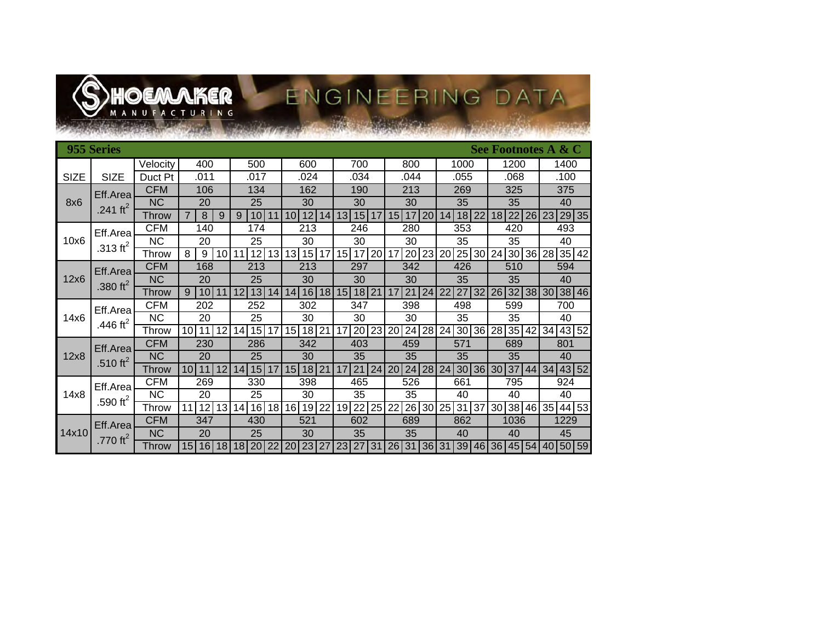

# ENGINEERING DATA

| 955 Series<br>See Footnotes A & C |                                  |              |                             |                                          |                             |                |                             |                |                             |             |
|-----------------------------------|----------------------------------|--------------|-----------------------------|------------------------------------------|-----------------------------|----------------|-----------------------------|----------------|-----------------------------|-------------|
|                                   |                                  | Velocity     | 400                         | 500                                      | 600                         | 700            | 800                         | 1000           | 1200                        | 1400        |
| <b>SIZE</b>                       | <b>SIZE</b>                      | Duct Pt      | .011                        | .017                                     | .024                        | .034           | .044                        | .055           | .068                        | .100        |
| 8x6                               | Eff.Area<br>.241 ft <sup>2</sup> | CFM          | 106                         | 134                                      | 162                         | 190            | 213                         | 269            | 325                         | 375         |
|                                   |                                  | <b>NC</b>    | 20                          | 25                                       | 30                          | 30             | 30                          | 35             | 35                          | 40          |
|                                   |                                  | <b>Throw</b> | $\overline{7}$<br>8<br>9    | 10 <sup>1</sup><br>9<br>11               | 12<br>14<br>10 <sup>1</sup> | 13<br>15<br>17 | 15<br>20<br>17 <sup>1</sup> | 18<br>22<br>14 | 22<br>26<br>18 <sup>1</sup> | 29 35<br>23 |
| 10x6                              | Eff.Area<br>.313 $\text{ft}^2$   | <b>CFM</b>   | 140                         | 174                                      | 213                         | 246            | 280                         | 353            | 420                         | 493         |
|                                   |                                  | <b>NC</b>    | 20                          | 25                                       | 30                          | 30             | 30                          | 35             | 35                          | 40          |
|                                   |                                  | Throw        | 8<br>9<br>10                | 13<br>12<br>11                           | 13 15<br>17                 | 20<br>15<br>17 | 20<br>23<br>17              | 25 30<br>20    | $30\sqrt{36}$<br>24         | 35 42<br>28 |
| 12x6                              | Eff.Area<br>.380 $ft^2$          | <b>CFM</b>   | 168                         | 213                                      | 213                         | 297            | 342                         | 426            | 510                         | 594         |
|                                   |                                  | <b>NC</b>    | 20                          | 25                                       | 30                          | 30             | 30                          | 35             | 35                          | 40          |
|                                   |                                  | Throw        | 10<br>9<br>11               | 13<br>14<br>12                           | 16<br>18 <sup>l</sup><br>14 | 18 21<br>15    | 21<br>24<br>17              | 27<br>32<br>22 | 32<br>38<br>26 <sub>l</sub> | 38 46<br>30 |
| 14x6                              | Eff.Area<br>.446 ft <sup>2</sup> | CFM          | 202                         | 252                                      | 302                         | 347            | 398                         | 498            | 599                         | 700         |
|                                   |                                  | ΝC           | 20                          | 25                                       | 30                          | 30             | 30                          | 35             | 35                          | 40          |
|                                   |                                  | Throw        | 12<br>10I<br>11             | 15<br>14<br>17                           | 15<br>21<br>18              | 23<br>20<br>17 | 24<br>28<br>20              | 36<br>24<br>30 | 35<br>28<br>42              | 43 52<br>34 |
| 12x8                              | Eff.Area<br>.510 ft <sup>2</sup> | <b>CFM</b>   | 230                         | 286                                      | 342                         | 403            | 459                         | 571            | 689                         | 801         |
|                                   |                                  | <b>NC</b>    | 20                          | 25                                       | 30                          | 35             | 35                          | 35             | 35                          | 40          |
|                                   |                                  | <b>Throw</b> | 12<br>11<br>10 <sup>1</sup> | 15<br>14<br>17                           | 18<br>21<br>15              | 21<br>24<br>17 | 28<br>24<br>20              | 30<br>36<br>24 | 37<br>44<br>30 <sub>l</sub> | 43 52<br>34 |
| 14x8                              | Eff.Area<br>.590 $ft^2$          | <b>CFM</b>   | 269                         | 330                                      | 398                         | 465            | 526                         | 661            | 795                         | 924         |
|                                   |                                  | <b>NC</b>    | 20                          | 25                                       | 30                          | 35             | 35                          | 40             | 40                          | 40          |
|                                   |                                  | Throw        | 12<br>13<br>11              | 16<br>18 <sup>1</sup><br>14 <sup>1</sup> | 22<br>16 19                 | 25<br>22<br>19 | 26<br>30<br>22              | 25<br>31<br>37 | 30<br>38 46                 | 44 53<br>35 |
| 14x10                             | Eff.Area<br>.770 $ft^2$          | <b>CFM</b>   | 347                         | 430                                      | 521                         | 602            | 689                         | 862            | 1036                        | 1229        |
|                                   |                                  | <b>NC</b>    | 20                          | 25                                       | 30                          | 35             | 35                          | 40             | 40                          | 45          |
|                                   |                                  | Throw        | 16<br>15 <sup>1</sup><br>18 | 22<br>20<br>18                           | 23<br>27<br>20              | 27<br>31<br>23 | 36<br>31<br>26              | 39<br>31<br>46 | 45 54 <br>36I               | 50 59<br>40 |